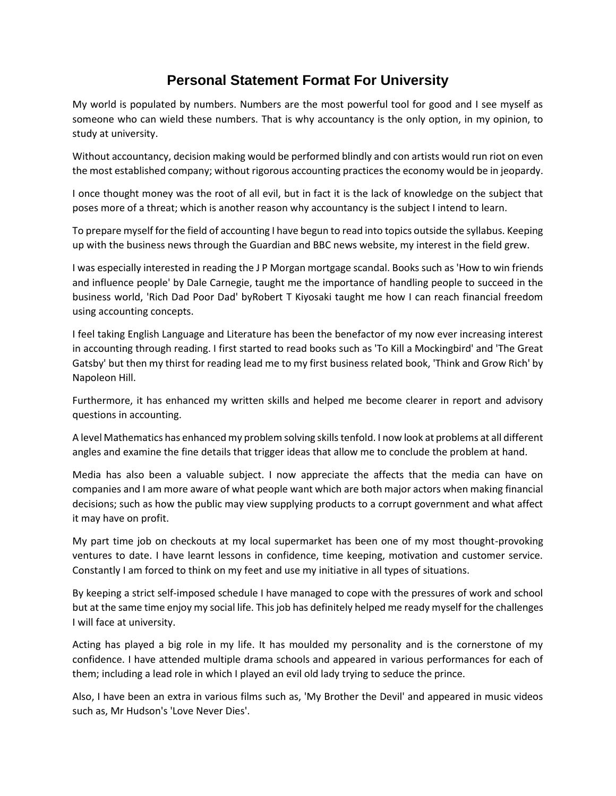## **Personal Statement Format For University**

My world is populated by numbers. Numbers are the most powerful tool for good and I see myself as someone who can wield these numbers. That is why accountancy is the only option, in my opinion, to study at university.

Without accountancy, decision making would be performed blindly and con artists would run riot on even the most established company; without rigorous accounting practices the economy would be in jeopardy.

I once thought money was the root of all evil, but in fact it is the lack of knowledge on the subject that poses more of a threat; which is another reason why accountancy is the subject I intend to learn.

To prepare myself for the field of accounting I have begun to read into topics outside the syllabus. Keeping up with the business news through the Guardian and BBC news website, my interest in the field grew.

I was especially interested in reading the J P Morgan mortgage scandal. Books such as 'How to win friends and influence people' by Dale Carnegie, taught me the importance of handling people to succeed in the business world, 'Rich Dad Poor Dad' byRobert T Kiyosaki taught me how I can reach financial freedom using accounting concepts.

I feel taking English Language and Literature has been the benefactor of my now ever increasing interest in accounting through reading. I first started to read books such as 'To Kill a Mockingbird' and 'The Great Gatsby' but then my thirst for reading lead me to my first business related book, 'Think and Grow Rich' by Napoleon Hill.

Furthermore, it has enhanced my written skills and helped me become clearer in report and advisory questions in accounting.

A level Mathematics has enhanced my problem solving skills tenfold. I now look at problems at all different angles and examine the fine details that trigger ideas that allow me to conclude the problem at hand.

Media has also been a valuable subject. I now appreciate the affects that the media can have on companies and I am more aware of what people want which are both major actors when making financial decisions; such as how the public may view supplying products to a corrupt government and what affect it may have on profit.

My part time job on checkouts at my local supermarket has been one of my most thought-provoking ventures to date. I have learnt lessons in confidence, time keeping, motivation and customer service. Constantly I am forced to think on my feet and use my initiative in all types of situations.

By keeping a strict self-imposed schedule I have managed to cope with the pressures of work and school but at the same time enjoy my social life. This job has definitely helped me ready myself for the challenges I will face at university.

Acting has played a big role in my life. It has moulded my personality and is the cornerstone of my confidence. I have attended multiple drama schools and appeared in various performances for each of them; including a lead role in which I played an evil old lady trying to seduce the prince.

Also, I have been an extra in various films such as, 'My Brother the Devil' and appeared in music videos such as, Mr Hudson's 'Love Never Dies'.